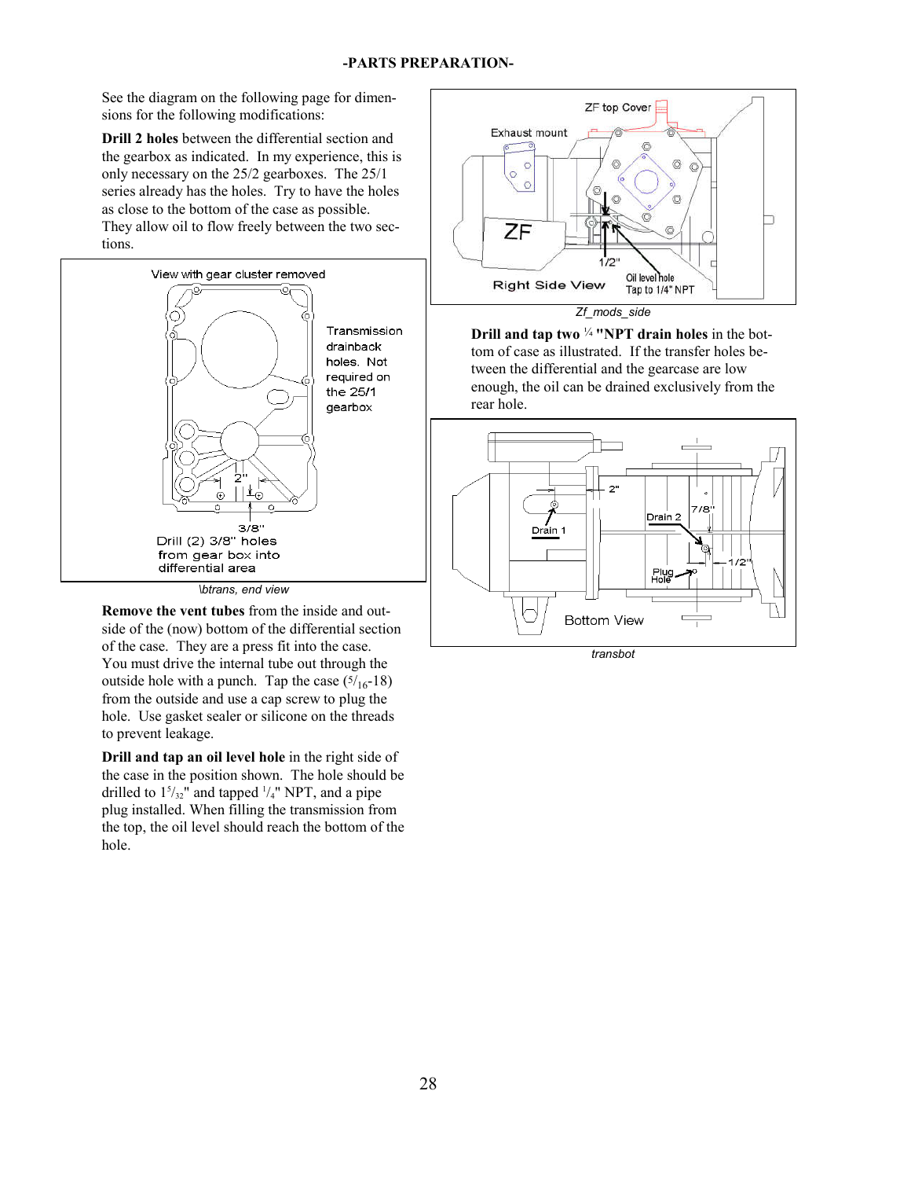See the diagram on the following page for dimensions for the following modifications:

**Drill 2 holes** between the differential section and the gearbox as indicated. In my experience, this is only necessary on the 25/2 gearboxes. The 25/1 series already has the holes. Try to have the holes as close to the bottom of the case as possible. They allow oil to flow freely between the two sections.



*\btrans, end view*

**Remove the vent tubes** from the inside and outside of the (now) bottom of the differential section of the case. They are a press fit into the case. You must drive the internal tube out through the outside hole with a punch. Tap the case  $(5/16-18)$ from the outside and use a cap screw to plug the hole. Use gasket sealer or silicone on the threads to prevent leakage.

**Drill and tap an oil level hole** in the right side of the case in the position shown. The hole should be drilled to  $1<sup>5</sup>/<sub>32</sub>$ " and tapped  $\frac{1}{4}$ " NPT, and a pipe plug installed. When filling the transmission from the top, the oil level should reach the bottom of the hole.



*Zf\_mods\_side*

**Drill and tap two** ¼ **"NPT drain holes** in the bottom of case as illustrated. If the transfer holes between the differential and the gearcase are low enough, the oil can be drained exclusively from the rear hole.



*transbot*